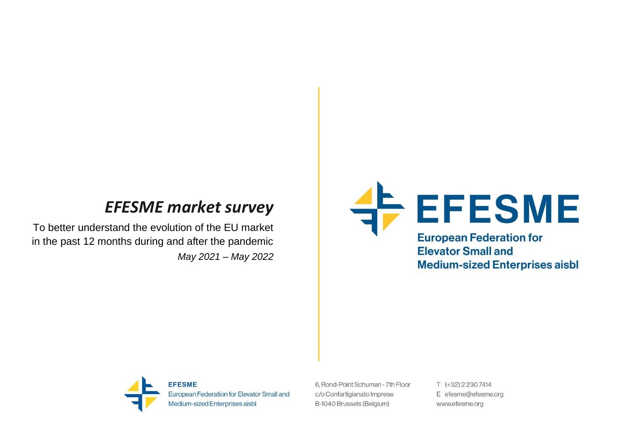# *EFESME market survey*

To better understand the evolution of the EU market in the past 12 months during and after the pandemic *May 2021 – May 2022*





**EFESME** European Federation for Elevator Small and Medium-sized Enterprises aisbl

6. Rond-Point Schuman - 7th Floor c/o Confartigianato Imprese B-1040 Brussels (Belgium)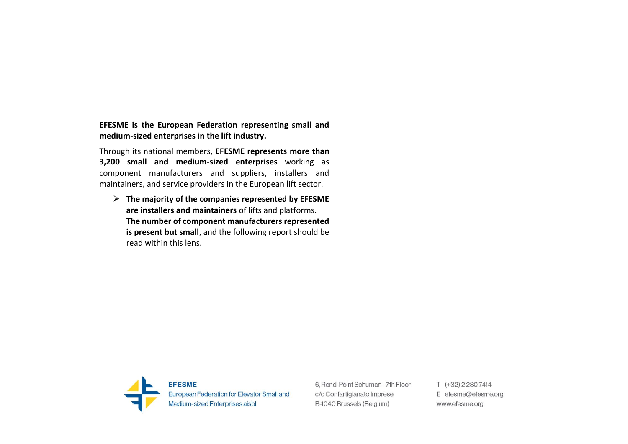**EFESME is the European Federation representing small and medium-sized enterprises in the lift industry.** 

Through its national members, **EFESME represents more than 3,200 small and medium-sized enterprises** working as component manufacturers and suppliers, installers and maintainers, and service providers in the European lift sector.

➢ **The majority of the companies represented by EFESME are installers and maintainers** of lifts and platforms. **The number of component manufacturers represented is present but small**, and the following report should be read within this lens.



6. Rond-Point Schuman - 7th Floor c/o Confartigianato Imprese B-1040 Brussels (Belgium)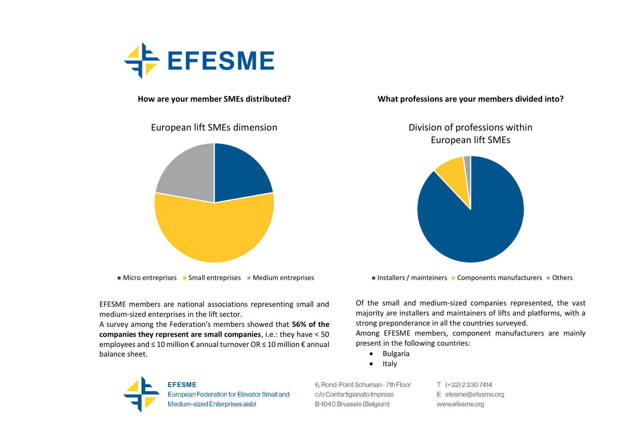

## **How are your member SMEs distributed?**

## European lift SMEs dimension



 $\blacksquare$  Micro entreprises  $\blacksquare$  Small entreprises  $\blacksquare$  Medium entreprises

EFESME members are national associations representing small and medium-sized enterprises in the lift sector.

A survey among the Federation's members showed that **56% of the companies they represent are small companies**, i.e.: they have < 50 employees and ≤ 10 million € annual turnover OR ≤ 10 million € annual balance sheet.

**What professions are your members divided into?**

Division of professions within European lift SMEs



Installers / mainteiners  $\blacksquare$  Components manufacturers  $\blacksquare$  Others

Of the small and medium-sized companies represented, the vast majority are installers and maintainers of lifts and platforms, with a strong preponderance in all the countries surveyed.

Among EFESME members, component manufacturers are mainly present in the following countries:

- Bulgaria
- Italy

**EFESME** European Federation for Elevator Small and Medium-sized Enterprises aisbl

6, Rond-Point Schuman - 7th Floor c/o Confartigianato Imprese B-1040 Brussels (Belgium)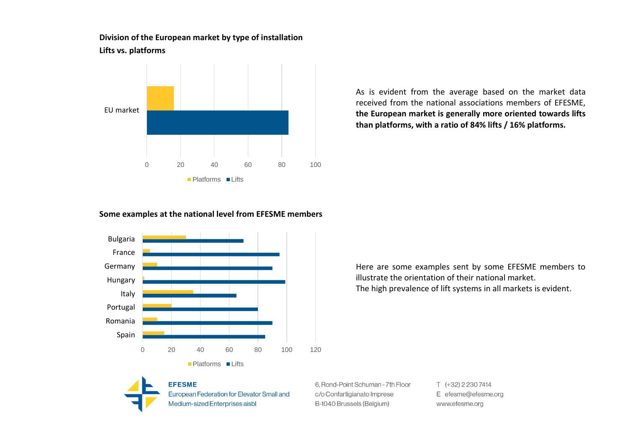**Division of the European market by type of installation Lifts vs. platforms**



As is evident from the average based on the market data received from the national associations members of EFESME, **the European market is generally more oriented towards lifts than platforms, with a ratio of 84% lifts / 16% platforms.**

## **Some examples at the national level from EFESME members**



Here are some examples sent by some EFESME members to illustrate the orientation of their national market. The high prevalence of lift systems in all markets is evident.



**EFESME** European Federation for Elevator Small and Medium-sized Enterprises aisbl

6. Rond-Point Schuman - 7th Floor c/o Confartigianato Imprese B-1040 Brussels (Belgium)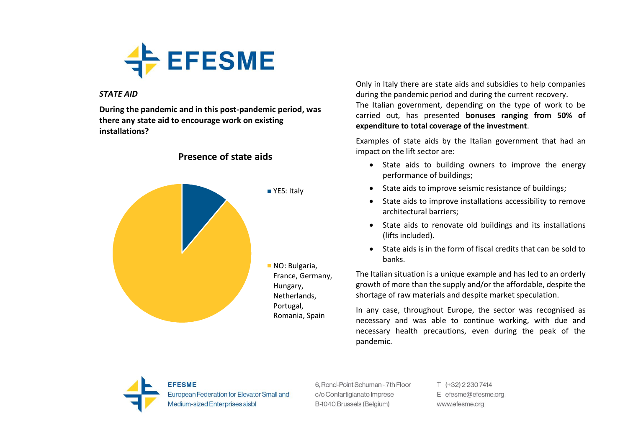

### *STATE AID*

**During the pandemic and in this post-pandemic period, was there any state aid to encourage work on existing installations?**



**Presence of state aids**

Only in Italy there are state aids and subsidies to help companies during the pandemic period and during the current recovery. The Italian government, depending on the type of work to be carried out, has presented **bonuses ranging from 50% of expenditure to total coverage of the investment**.

Examples of state aids by the Italian government that had an impact on the lift sector are:

- State aids to building owners to improve the energy performance of buildings;
- State aids to improve seismic resistance of buildings;
- State aids to improve installations accessibility to remove architectural barriers;
- State aids to renovate old buildings and its installations (lifts included).
- State aids is in the form of fiscal credits that can be sold to banks.

The Italian situation is a unique example and has led to an orderly growth of more than the supply and/or the affordable, despite the shortage of raw materials and despite market speculation.

In any case, throughout Europe, the sector was recognised as necessary and was able to continue working, with due and necessary health precautions, even during the peak of the pandemic.



6. Rond-Point Schuman - 7th Floor c/o Confartigianato Imprese B-1040 Brussels (Belgium)